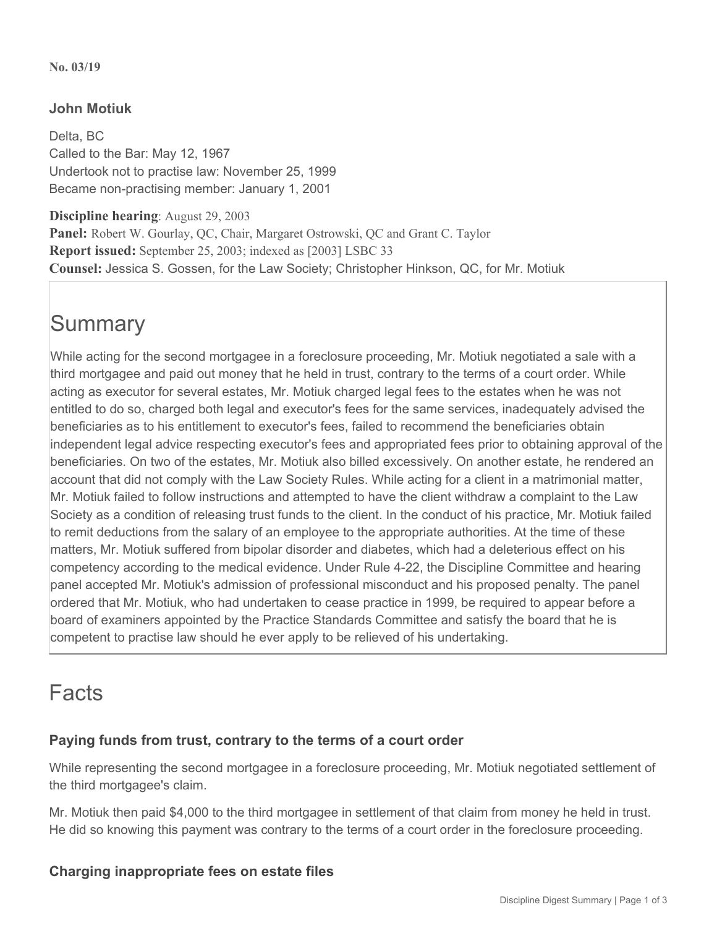#### **No. 03/19**

# **John Motiuk**

Delta, BC Called to the Bar: May 12, 1967 Undertook not to practise law: November 25, 1999 Became non-practising member: January 1, 2001

**Discipline hearing**: August 29, 2003 **Panel:** Robert W. Gourlay, QC, Chair, Margaret Ostrowski, QC and Grant C. Taylor **Report issued:** September 25, 2003; indexed as [2003] LSBC 33 **Counsel:** Jessica S. Gossen, for the Law Society; Christopher Hinkson, QC, for Mr. Motiuk

# **Summary**

While acting for the second mortgagee in a foreclosure proceeding, Mr. Motiuk negotiated a sale with a third mortgagee and paid out money that he held in trust, contrary to the terms of a court order. While acting as executor for several estates, Mr. Motiuk charged legal fees to the estates when he was not entitled to do so, charged both legal and executor's fees for the same services, inadequately advised the beneficiaries as to his entitlement to executor's fees, failed to recommend the beneficiaries obtain independent legal advice respecting executor's fees and appropriated fees prior to obtaining approval of the beneficiaries. On two of the estates, Mr. Motiuk also billed excessively. On another estate, he rendered an account that did not comply with the Law Society Rules. While acting for a client in a matrimonial matter, Mr. Motiuk failed to follow instructions and attempted to have the client withdraw a complaint to the Law Society as a condition of releasing trust funds to the client. In the conduct of his practice, Mr. Motiuk failed to remit deductions from the salary of an employee to the appropriate authorities. At the time of these matters, Mr. Motiuk suffered from bipolar disorder and diabetes, which had a deleterious effect on his competency according to the medical evidence. Under Rule 4-22, the Discipline Committee and hearing panel accepted Mr. Motiuk's admission of professional misconduct and his proposed penalty. The panel ordered that Mr. Motiuk, who had undertaken to cease practice in 1999, be required to appear before a board of examiners appointed by the Practice Standards Committee and satisfy the board that he is competent to practise law should he ever apply to be relieved of his undertaking.

# Facts

# **Paying funds from trust, contrary to the terms of a court order**

While representing the second mortgagee in a foreclosure proceeding, Mr. Motiuk negotiated settlement of the third mortgagee's claim.

Mr. Motiuk then paid \$4,000 to the third mortgagee in settlement of that claim from money he held in trust. He did so knowing this payment was contrary to the terms of a court order in the foreclosure proceeding.

## **Charging inappropriate fees on estate files**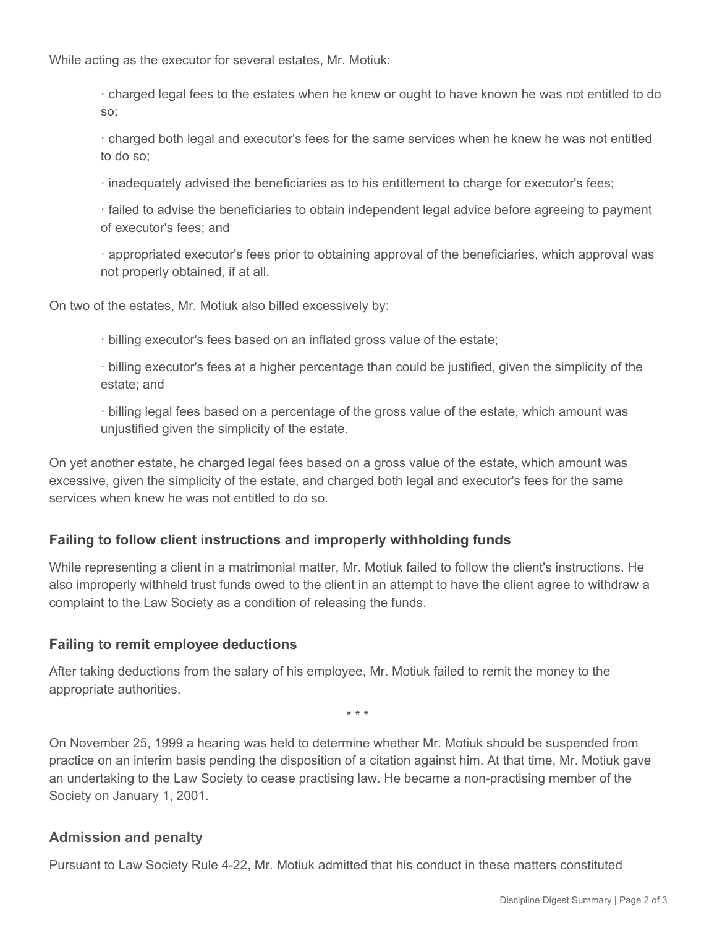While acting as the executor for several estates, Mr. Motiuk:

· charged legal fees to the estates when he knew or ought to have known he was not entitled to do so;

· charged both legal and executor's fees for the same services when he knew he was not entitled to do so;

· inadequately advised the beneficiaries as to his entitlement to charge for executor's fees;

· failed to advise the beneficiaries to obtain independent legal advice before agreeing to payment of executor's fees; and

· appropriated executor's fees prior to obtaining approval of the beneficiaries, which approval was not properly obtained, if at all.

On two of the estates, Mr. Motiuk also billed excessively by:

· billing executor's fees based on an inflated gross value of the estate;

· billing executor's fees at a higher percentage than could be justified, given the simplicity of the estate; and

· billing legal fees based on a percentage of the gross value of the estate, which amount was unjustified given the simplicity of the estate.

On yet another estate, he charged legal fees based on a gross value of the estate, which amount was excessive, given the simplicity of the estate, and charged both legal and executor's fees for the same services when knew he was not entitled to do so.

# **Failing to follow client instructions and improperly withholding funds**

While representing a client in a matrimonial matter, Mr. Motiuk failed to follow the client's instructions. He also improperly withheld trust funds owed to the client in an attempt to have the client agree to withdraw a complaint to the Law Society as a condition of releasing the funds.

## **Failing to remit employee deductions**

After taking deductions from the salary of his employee, Mr. Motiuk failed to remit the money to the appropriate authorities.

\* \* \*

On November 25, 1999 a hearing was held to determine whether Mr. Motiuk should be suspended from practice on an interim basis pending the disposition of a citation against him. At that time, Mr. Motiuk gave an undertaking to the Law Society to cease practising law. He became a non-practising member of the Society on January 1, 2001.

## **Admission and penalty**

Pursuant to Law Society Rule 4-22, Mr. Motiuk admitted that his conduct in these matters constituted